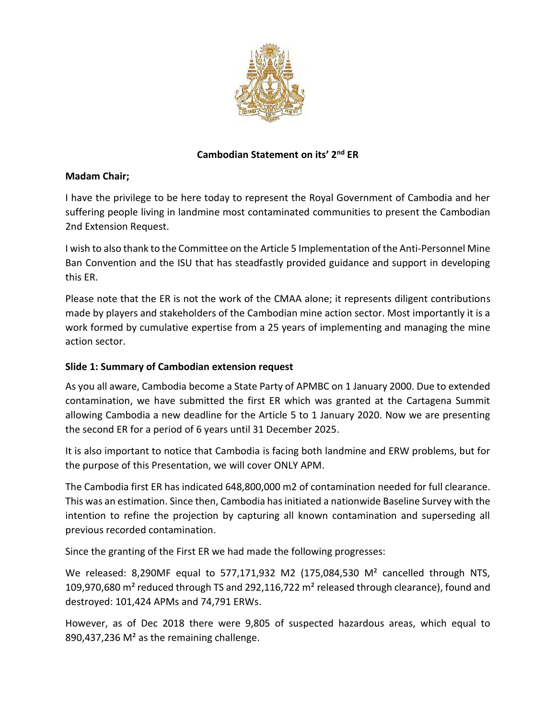

# **Cambodian Statement on its' 2nd ER**

# **Madam Chair;**

I have the privilege to be here today to represent the Royal Government of Cambodia and her suffering people living in landmine most contaminated communities to present the Cambodian 2nd Extension Request.

I wish to also thank to the Committee on the Article 5 Implementation of the Anti-Personnel Mine Ban Convention and the ISU that has steadfastly provided guidance and support in developing this ER.

Please note that the ER is not the work of the CMAA alone; it represents diligent contributions made by players and stakeholders of the Cambodian mine action sector. Most importantly it is a work formed by cumulative expertise from a 25 years of implementing and managing the mine action sector.

# **Slide 1: Summary of Cambodian extension request**

As you all aware, Cambodia become a State Party of APMBC on 1 January 2000. Due to extended contamination, we have submitted the first ER which was granted at the Cartagena Summit allowing Cambodia a new deadline for the Article 5 to 1 January 2020. Now we are presenting the second ER for a period of 6 years until 31 December 2025.

It is also important to notice that Cambodia is facing both landmine and ERW problems, but for the purpose of this Presentation, we will cover ONLY APM.

The Cambodia first ER has indicated 648,800,000 m2 of contamination needed for full clearance. This was an estimation. Since then, Cambodia has initiated a nationwide Baseline Survey with the intention to refine the projection by capturing all known contamination and superseding all previous recorded contamination.

Since the granting of the First ER we had made the following progresses:

We released: 8,290MF equal to 577,171,932 M2 (175,084,530 M<sup>2</sup> cancelled through NTS, 109,970,680 m² reduced through TS and 292,116,722 m² released through clearance), found and destroyed: 101,424 APMs and 74,791 ERWs.

However, as of Dec 2018 there were 9,805 of suspected hazardous areas, which equal to 890,437,236 M<sup>2</sup> as the remaining challenge.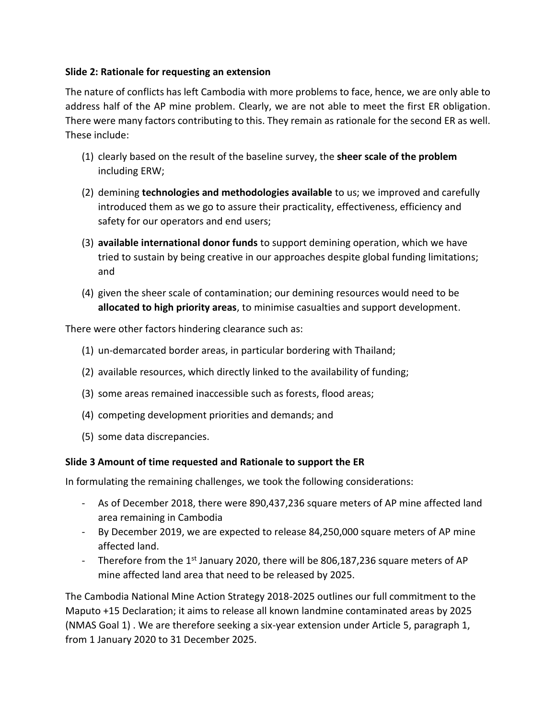#### **Slide 2: Rationale for requesting an extension**

The nature of conflicts has left Cambodia with more problems to face, hence, we are only able to address half of the AP mine problem. Clearly, we are not able to meet the first ER obligation. There were many factors contributing to this. They remain as rationale for the second ER as well. These include:

- (1) clearly based on the result of the baseline survey, the **sheer scale of the problem** including ERW;
- (2) demining **technologies and methodologies available** to us; we improved and carefully introduced them as we go to assure their practicality, effectiveness, efficiency and safety for our operators and end users;
- (3) **available international donor funds** to support demining operation, which we have tried to sustain by being creative in our approaches despite global funding limitations; and
- (4) given the sheer scale of contamination; our demining resources would need to be **allocated to high priority areas**, to minimise casualties and support development.

There were other factors hindering clearance such as:

- (1) un-demarcated border areas, in particular bordering with Thailand;
- (2) available resources, which directly linked to the availability of funding;
- (3) some areas remained inaccessible such as forests, flood areas;
- (4) competing development priorities and demands; and
- (5) some data discrepancies.

# **Slide 3 Amount of time requested and Rationale to support the ER**

In formulating the remaining challenges, we took the following considerations:

- As of December 2018, there were 890,437,236 square meters of AP mine affected land area remaining in Cambodia
- By December 2019, we are expected to release 84,250,000 square meters of AP mine affected land.
- Therefore from the  $1<sup>st</sup>$  January 2020, there will be 806,187,236 square meters of AP mine affected land area that need to be released by 2025.

The Cambodia National Mine Action Strategy 2018-2025 outlines our full commitment to the Maputo +15 Declaration; it aims to release all known landmine contaminated areas by 2025 (NMAS Goal 1) . We are therefore seeking a six-year extension under Article 5, paragraph 1, from 1 January 2020 to 31 December 2025.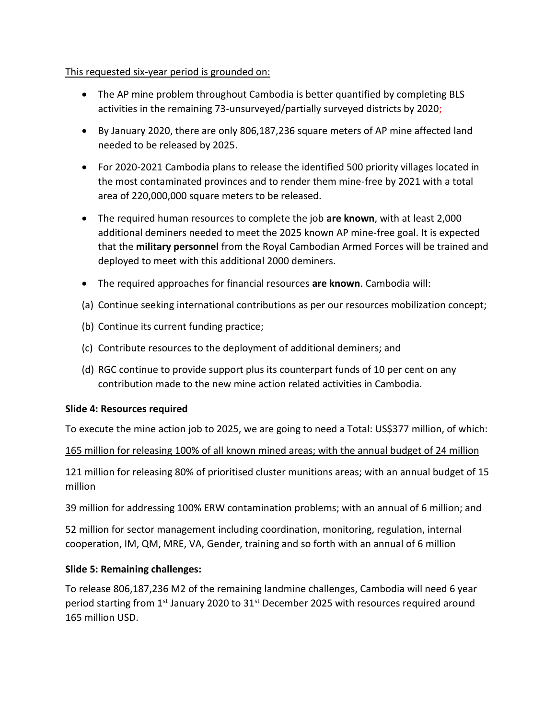# This requested six-year period is grounded on:

- The AP mine problem throughout Cambodia is better quantified by completing BLS activities in the remaining 73-unsurveyed/partially surveyed districts by 2020;
- By January 2020, there are only 806,187,236 square meters of AP mine affected land needed to be released by 2025.
- For 2020-2021 Cambodia plans to release the identified 500 priority villages located in the most contaminated provinces and to render them mine-free by 2021 with a total area of 220,000,000 square meters to be released.
- The required human resources to complete the job **are known**, with at least 2,000 additional deminers needed to meet the 2025 known AP mine-free goal. It is expected that the **military personnel** from the Royal Cambodian Armed Forces will be trained and deployed to meet with this additional 2000 deminers.
- The required approaches for financial resources **are known**. Cambodia will:
- (a) Continue seeking international contributions as per our resources mobilization concept;
- (b) Continue its current funding practice;
- (c) Contribute resources to the deployment of additional deminers; and
- (d) RGC continue to provide support plus its counterpart funds of 10 per cent on any contribution made to the new mine action related activities in Cambodia.

# **Slide 4: Resources required**

To execute the mine action job to 2025, we are going to need a Total: US\$377 million, of which:

# 165 million for releasing 100% of all known mined areas; with the annual budget of 24 million

121 million for releasing 80% of prioritised cluster munitions areas; with an annual budget of 15 million

39 million for addressing 100% ERW contamination problems; with an annual of 6 million; and

52 million for sector management including coordination, monitoring, regulation, internal cooperation, IM, QM, MRE, VA, Gender, training and so forth with an annual of 6 million

# **Slide 5: Remaining challenges:**

To release 806,187,236 M2 of the remaining landmine challenges, Cambodia will need 6 year period starting from 1<sup>st</sup> January 2020 to 31<sup>st</sup> December 2025 with resources required around 165 million USD.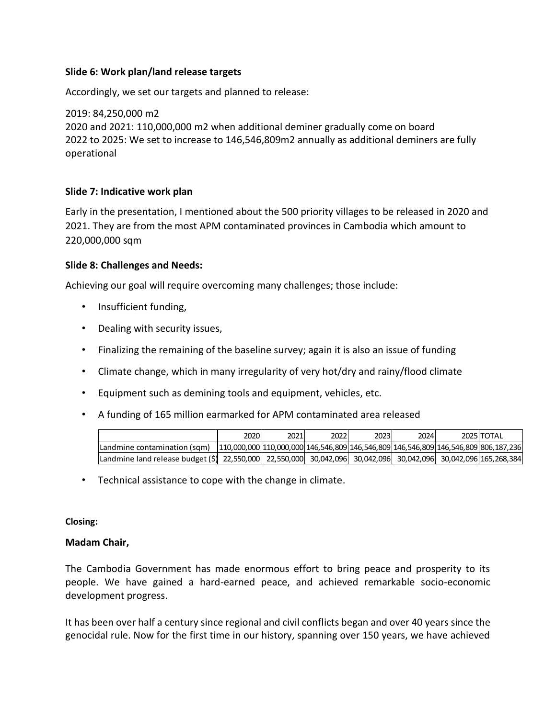#### **Slide 6: Work plan/land release targets**

Accordingly, we set our targets and planned to release:

2019: 84,250,000 m2 2020 and 2021: 110,000,000 m2 when additional deminer gradually come on board 2022 to 2025: We set to increase to 146,546,809m2 annually as additional deminers are fully operational

#### **Slide 7: Indicative work plan**

Early in the presentation, I mentioned about the 500 priority villages to be released in 2020 and 2021. They are from the most APM contaminated provinces in Cambodia which amount to 220,000,000 sqm

#### **Slide 8: Challenges and Needs:**

Achieving our goal will require overcoming many challenges; those include:

- Insufficient funding,
- Dealing with security issues,
- Finalizing the remaining of the baseline survey; again it is also an issue of funding
- Climate change, which in many irregularity of very hot/dry and rainy/flood climate
- Equipment such as demining tools and equipment, vehicles, etc.
- A funding of 165 million earmarked for APM contaminated area released

| A funding of 165 million earmarked for APM contaminated area released                                                  |                                                                                                   |      |      |      |      |            |
|------------------------------------------------------------------------------------------------------------------------|---------------------------------------------------------------------------------------------------|------|------|------|------|------------|
|                                                                                                                        | 2020                                                                                              | 2021 | 2022 | 2023 | 2024 | 2025 TOTAL |
| Landmine contamination (sqm)                                                                                           | $110,000,000$ $110,000,000$ $146,546,809$ $146,546,809$ $146,546,809$ $146,546,809$ $806,187,236$ |      |      |      |      |            |
| Landmine land release budget (\$)  22,550,000  22,550,000  30,042,096  30,042,096  30,042,096  30,042,096  165,268,384 |                                                                                                   |      |      |      |      |            |
|                                                                                                                        |                                                                                                   |      |      |      |      |            |

• Technical assistance to cope with the change in climate.

#### **Closing:**

#### **Madam Chair,**

The Cambodia Government has made enormous effort to bring peace and prosperity to its people. We have gained a hard-earned peace, and achieved remarkable socio-economic development progress.

It has been over half a century since regional and civil conflicts began and over 40 years since the genocidal rule. Now for the first time in our history, spanning over 150 years, we have achieved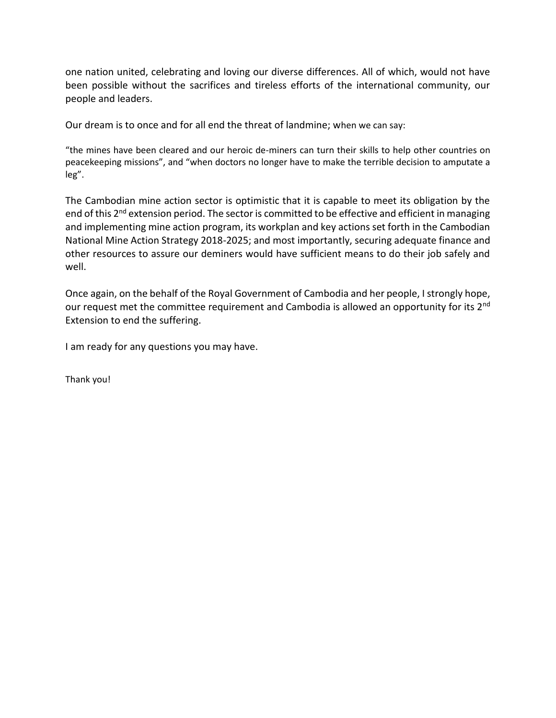one nation united, celebrating and loving our diverse differences. All of which, would not have been possible without the sacrifices and tireless efforts of the international community, our people and leaders.

Our dream is to once and for all end the threat of landmine; when we can say:

"the mines have been cleared and our heroic de-miners can turn their skills to help other countries on peacekeeping missions", and "when doctors no longer have to make the terrible decision to amputate a leg".

The Cambodian mine action sector is optimistic that it is capable to meet its obligation by the end of this 2<sup>nd</sup> extension period. The sector is committed to be effective and efficient in managing and implementing mine action program, its workplan and key actions set forth in the Cambodian National Mine Action Strategy 2018-2025; and most importantly, securing adequate finance and other resources to assure our deminers would have sufficient means to do their job safely and well.

Once again, on the behalf of the Royal Government of Cambodia and her people, I strongly hope, our request met the committee requirement and Cambodia is allowed an opportunity for its 2<sup>nd</sup> Extension to end the suffering.

I am ready for any questions you may have.

Thank you!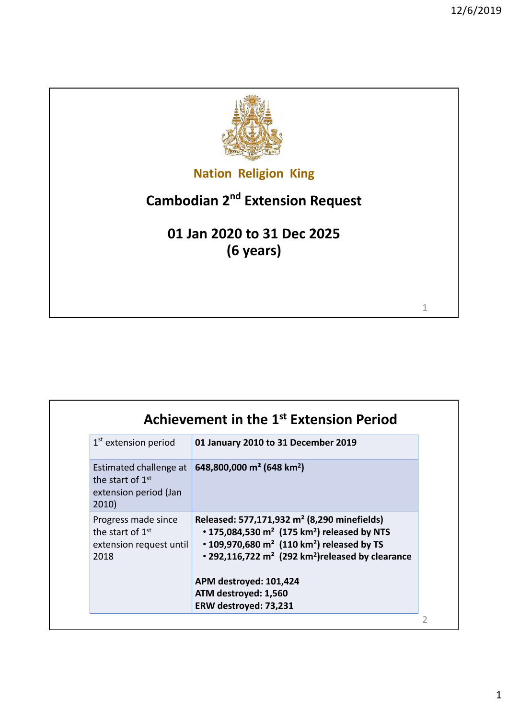1



**Nation Religion King**

# **Cambodian 2nd Extension Request**

**01 Jan 2020 to 31 Dec 2025 (6 years)**

| 1 <sup>st</sup> extension period                                                         | 01 January 2010 to 31 December 2019                                                                                                                                                                                                                                                  |
|------------------------------------------------------------------------------------------|--------------------------------------------------------------------------------------------------------------------------------------------------------------------------------------------------------------------------------------------------------------------------------------|
| Estimated challenge at<br>the start of 1 <sup>st</sup><br>extension period (Jan<br>2010) | 648,800,000 m <sup>2</sup> (648 km <sup>2</sup> )                                                                                                                                                                                                                                    |
| Progress made since<br>the start of 1 <sup>st</sup><br>extension request until<br>2018   | Released: 577,171,932 m <sup>2</sup> (8,290 minefields)<br>• 175,084,530 $m^2$ (175 km <sup>2</sup> ) released by NTS<br>$\cdot$ 109,970,680 m <sup>2</sup> (110 km <sup>2</sup> ) released by TS<br>$\cdot$ 292,116,722 m <sup>2</sup> (292 km <sup>2</sup> ) released by clearance |
|                                                                                          | APM destroyed: 101,424                                                                                                                                                                                                                                                               |
|                                                                                          | ATM destroyed: 1,560                                                                                                                                                                                                                                                                 |
|                                                                                          | ERW destroyed: 73,231                                                                                                                                                                                                                                                                |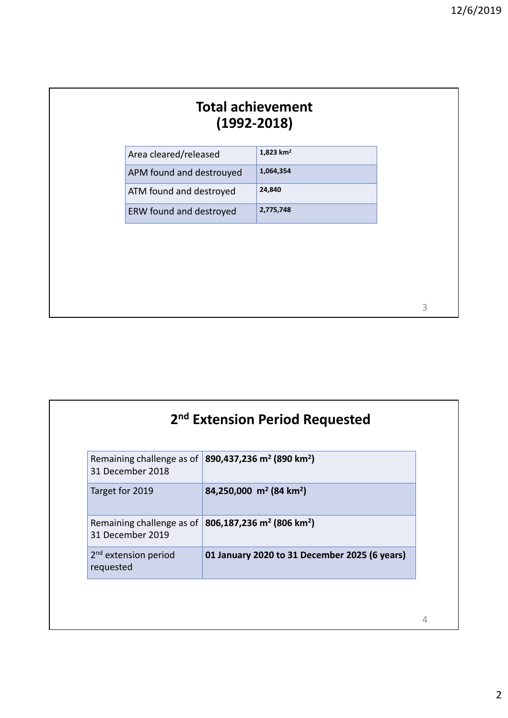| 1,823 km <sup>2</sup><br>Area cleared/released<br>1,064,354<br>APM found and destrouyed |
|-----------------------------------------------------------------------------------------|
|                                                                                         |
|                                                                                         |
| 24,840<br>ATM found and destroyed                                                       |
| 2,775,748<br>ERW found and destroyed                                                    |

|                                               | 2 <sup>nd</sup> Extension Period Requested                                    |
|-----------------------------------------------|-------------------------------------------------------------------------------|
| 31 December 2018                              | Remaining challenge as of 890,437,236 m <sup>2</sup> (890 km <sup>2</sup> )   |
| Target for 2019                               | 84,250,000 m <sup>2</sup> (84 km <sup>2</sup> )                               |
| 31 December 2019                              | Remaining challenge as of   806,187,236 m <sup>2</sup> (806 km <sup>2</sup> ) |
| 2 <sup>nd</sup> extension period<br>requested | 01 January 2020 to 31 December 2025 (6 years)                                 |

4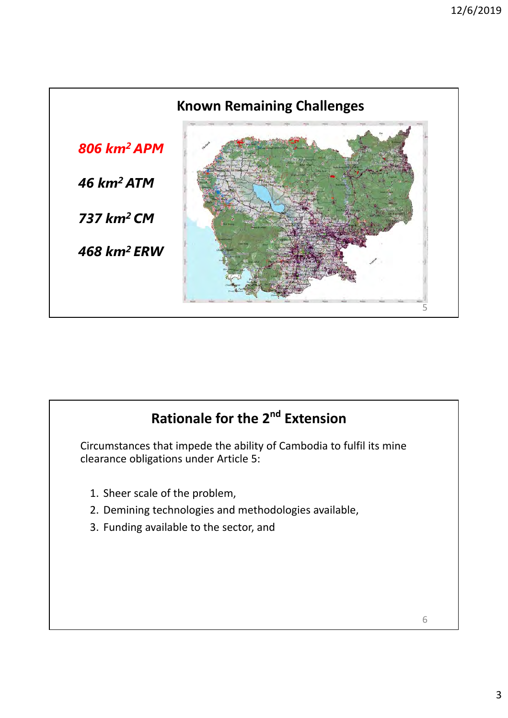

# **Rationale for the 2nd Extension**

Circumstances that impede the ability of Cambodia to fulfil its mine clearance obligations under Article 5:

- 1. Sheer scale of the problem,
- 2. Demining technologies and methodologies available,
- 3. Funding available to the sector, and

6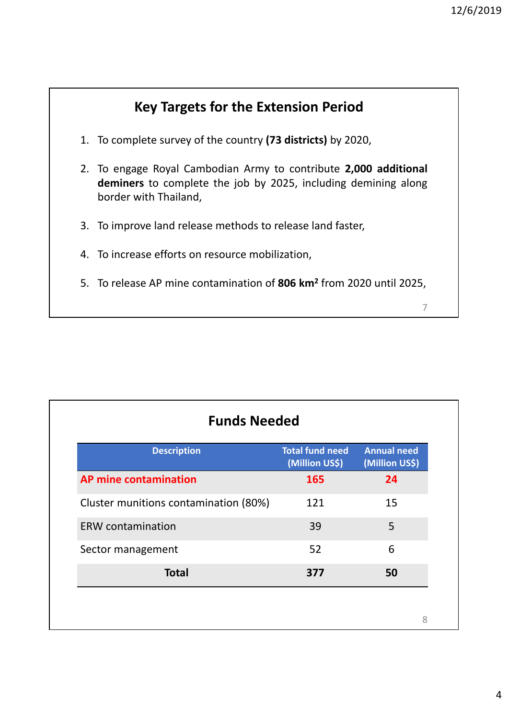

| <b>Description</b>                    | <b>Total fund need</b><br>(Million US\$) | <b>Annual need</b><br>(Million US\$) |
|---------------------------------------|------------------------------------------|--------------------------------------|
| <b>AP mine contamination</b>          | 165                                      | 24                                   |
| Cluster munitions contamination (80%) | 121                                      | 15                                   |
| <b>ERW</b> contamination              | 39                                       | 5                                    |
| Sector management                     | 52                                       | 6                                    |
| <b>Total</b>                          | 377                                      | 50                                   |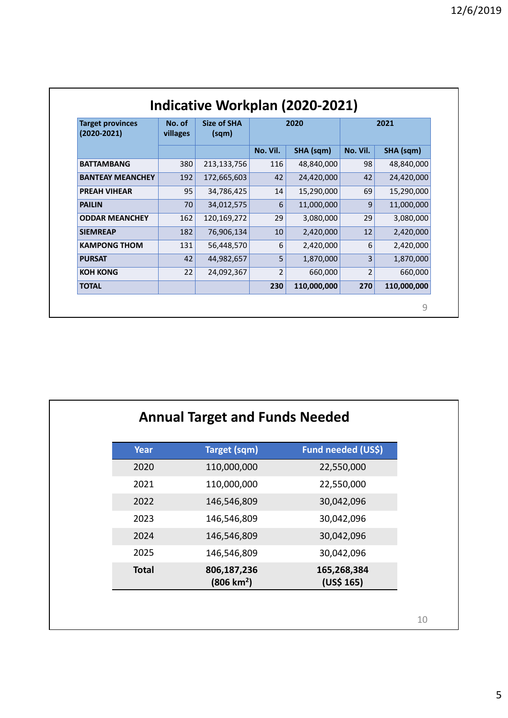| <b>Target provinces</b><br>$(2020 - 2021)$ | No. of<br>villages | <b>Size of SHA</b><br>(sqm) |                         | 2020        |                         | 2021        |
|--------------------------------------------|--------------------|-----------------------------|-------------------------|-------------|-------------------------|-------------|
|                                            |                    |                             | No. Vil.                | SHA (sqm)   | No. Vil.                | SHA (sqm)   |
| <b>BATTAMBANG</b>                          | 380                | 213,133,756                 | 116                     | 48,840,000  | 98                      | 48,840,000  |
| <b>BANTEAY MEANCHEY</b>                    | 192                | 172,665,603                 | 42                      | 24,420,000  | 42                      | 24,420,000  |
| <b>PREAH VIHEAR</b>                        | 95                 | 34,786,425                  | 14                      | 15,290,000  | 69                      | 15,290,000  |
| <b>PAILIN</b>                              | 70                 | 34,012,575                  | 6                       | 11,000,000  | 9                       | 11,000,000  |
| <b>ODDAR MEANCHEY</b>                      | 162                | 120,169,272                 | 29                      | 3,080,000   | 29                      | 3,080,000   |
| <b>SIEMREAP</b>                            | 182                | 76,906,134                  | 10                      | 2,420,000   | 12                      | 2,420,000   |
| <b>KAMPONG THOM</b>                        | 131                | 56,448,570                  | 6                       | 2,420,000   | 6                       | 2,420,000   |
| <b>PURSAT</b>                              | 42                 | 44,982,657                  | 5                       | 1,870,000   | 3                       | 1,870,000   |
| <b>KOH KONG</b>                            | 22                 | 24,092,367                  | $\overline{\mathbf{c}}$ | 660,000     | $\overline{\mathbf{c}}$ | 660,000     |
| <b>TOTAL</b>                               |                    |                             | 230                     | 110,000,000 | 270                     | 110,000,000 |

|              | <b>Annual Target and Funds Needed</b> |                           |
|--------------|---------------------------------------|---------------------------|
| Year         | <b>Target (sqm)</b>                   | Fund needed (US\$)        |
| 2020         | 110,000,000                           | 22,550,000                |
| 2021         | 110,000,000                           | 22,550,000                |
| 2022         | 146,546,809                           | 30,042,096                |
| 2023         | 146,546,809                           | 30,042,096                |
| 2024         | 146,546,809                           | 30,042,096                |
| 2025         | 146,546,809                           | 30,042,096                |
| <b>Total</b> | 806,187,236<br>(806 km <sup>2</sup> ) | 165,268,384<br>(US\$ 165) |